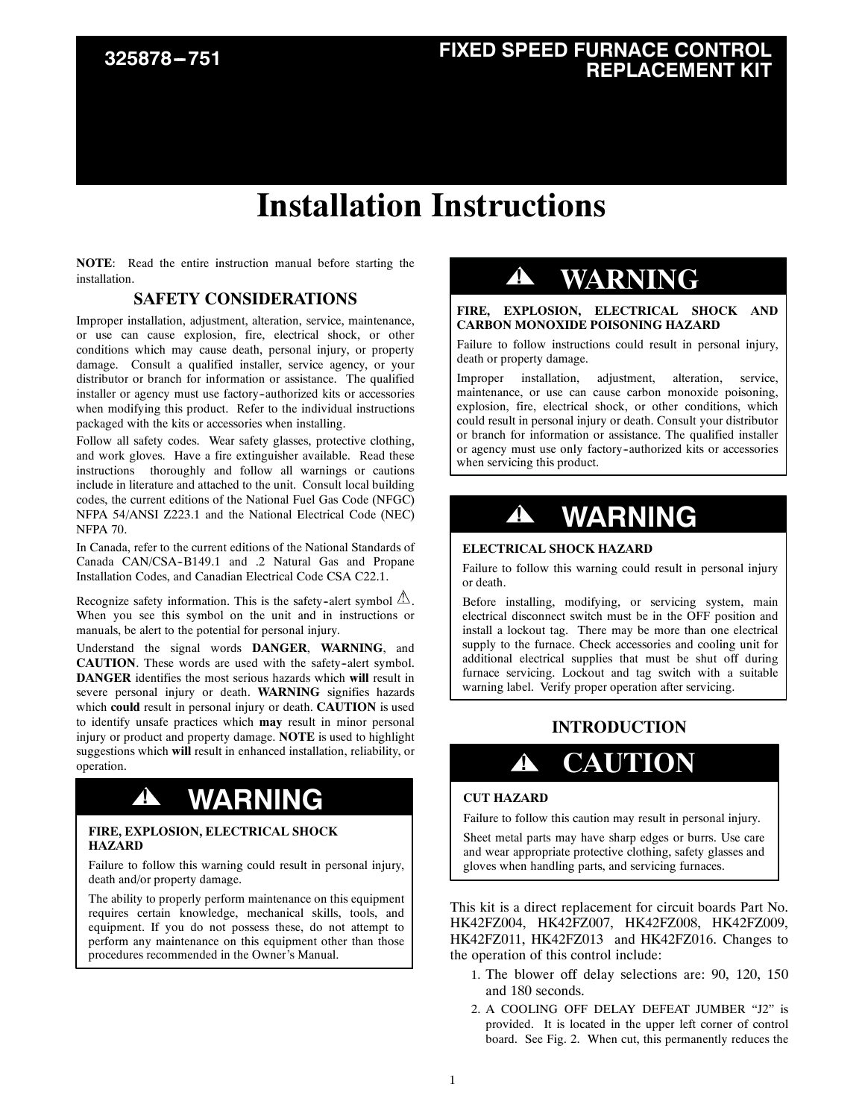# **FIXED SPEED FURNACE CONTROL REPLACEMENT KIT 325878 ---751**

## **Installation Instructions**

**NOTE**: Read the entire instruction manual before starting the installation.

### **SAFETY CONSIDERATIONS**

Improper installation, adjustment, alteration, service, maintenance, or use can cause explosion, fire, electrical shock, or other conditions which may cause death, personal injury, or property damage. Consult a qualified installer, service agency, or your distributor or branch for information or assistance. The qualified installer or agency must use factory--authorized kits or accessories when modifying this product. Refer to the individual instructions packaged with the kits or accessories when installing.

Follow all safety codes. Wear safety glasses, protective clothing, and work gloves. Have a fire extinguisher available. Read these instructions thoroughly and follow all warnings or cautions include in literature and attached to the unit. Consult local building codes, the current editions of the National Fuel Gas Code (NFGC) NFPA 54/ANSI Z223.1 and the National Electrical Code (NEC) NFPA 70.

In Canada, refer to the current editions of the National Standards of Canada CAN/CSA-B149.1 and .2 Natural Gas and Propane Installation Codes, and Canadian Electrical Code CSA C22.1.

Recognize safety information. This is the safety-alert symbol  $\mathbb{\Delta}$ . When you see this symbol on the unit and in instructions or manuals, be alert to the potential for personal injury.

Understand the signal words **DANGER**, **WARNING**, and **CAUTION**. These words are used with the safety-alert symbol. **DANGER** identifies the most serious hazards which **will** result in severe personal injury or death. **WARNING** signifies hazards which **could** result in personal injury or death. **CAUTION** is used to identify unsafe practices which **may** result in minor personal injury or product and property damage. **NOTE** is used to highlight suggestions which **will** result in enhanced installation, reliability, or operation.

### **! WARNING**

### **FIRE, EXPLOSION, ELECTRICAL SHOCK HAZARD**

Failure to follow this warning could result in personal injury, death and/or property damage.

The ability to properly perform maintenance on this equipment requires certain knowledge, mechanical skills, tools, and equipment. If you do not possess these, do not attempt to perform any maintenance on this equipment other than those procedures recommended in the Owner's Manual.

### **! WARNING**

**FIRE, EXPLOSION, ELECTRICAL SHOCK AND CARBON MONOXIDE POISONING HAZARD**

Failure to follow instructions could result in personal injury, death or property damage.

Improper installation, adjustment, alteration, service, maintenance, or use can cause carbon monoxide poisoning, explosion, fire, electrical shock, or other conditions, which could result in personal injury or death. Consult your distributor or branch for information or assistance. The qualified installer or agency must use only factory--authorized kits or accessories when servicing this product.

## **! WARNING**

### **ELECTRICAL SHOCK HAZARD**

Failure to follow this warning could result in personal injury or death.

Before installing, modifying, or servicing system, main electrical disconnect switch must be in the OFF position and install a lockout tag. There may be more than one electrical supply to the furnace. Check accessories and cooling unit for additional electrical supplies that must be shut off during furnace servicing. Lockout and tag switch with a suitable warning label. Verify proper operation after servicing.

### **INTRODUCTION**

### **! CAUTION**

#### **CUT HAZARD**

Failure to follow this caution may result in personal injury.

Sheet metal parts may have sharp edges or burrs. Use care and wear appropriate protective clothing, safety glasses and gloves when handling parts, and servicing furnaces.

This kit is a direct replacement for circuit boards Part No. HK42FZ004, HK42FZ007, HK42FZ008, HK42FZ009, HK42FZ011, HK42FZ013 and HK42FZ016. Changes to the operation of this control include:

- 1. The blower off delay selections are: 90, 120, 150 and 180 seconds.
- 2. A COOLING OFF DELAY DEFEAT JUMBER "J2" is provided. It is located in the upper left corner of control board. See Fig. 2. When cut, this permanently reduces the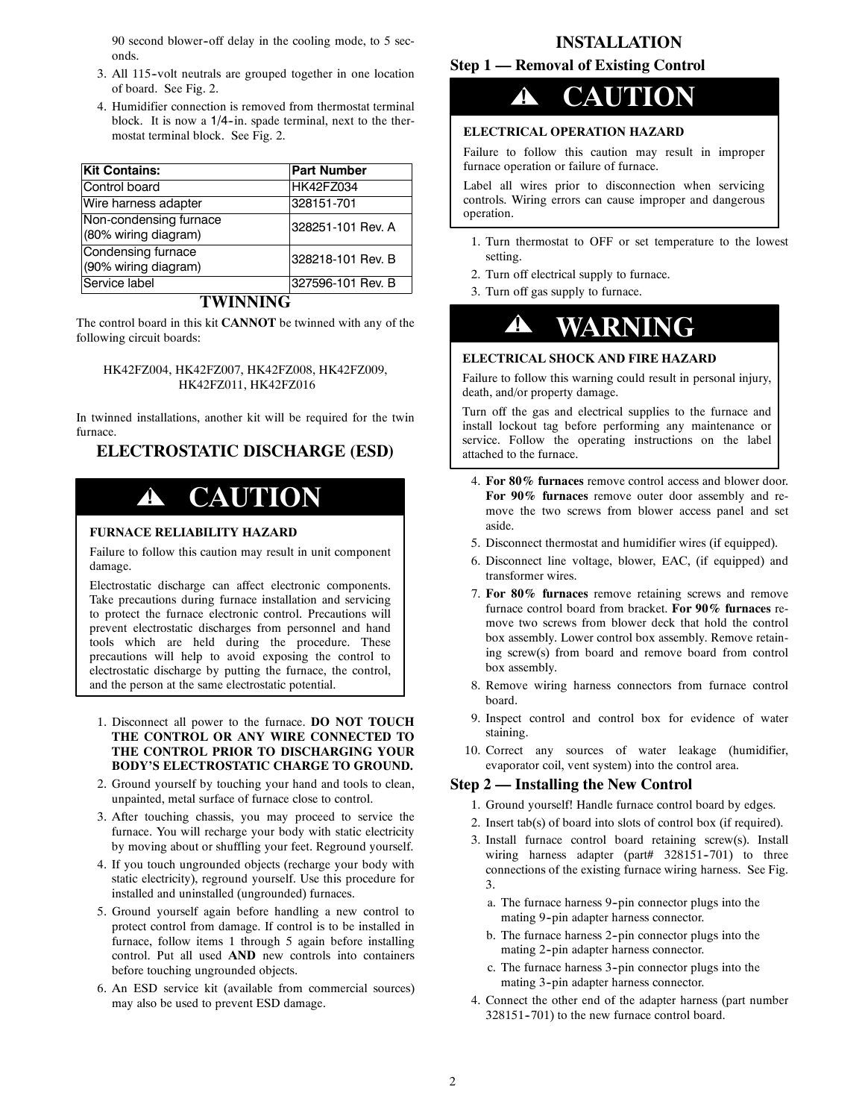90 second blower-off delay in the cooling mode, to 5 seconds.

- 3. All 115--volt neutrals are grouped together in one location of board. See Fig. 2.
- 4. Humidifier connection is removed from thermostat terminal block. It is now a 1/4-in. spade terminal, next to the thermostat terminal block. See Fig. 2.

| <b>Kit Contains:</b>                           | <b>Part Number</b> |
|------------------------------------------------|--------------------|
| Control board                                  | <b>HK42FZ034</b>   |
| Wire harness adapter                           | 328151-701         |
| Non-condensing furnace<br>(80% wiring diagram) | 328251-101 Rev. A  |
| Condensing furnace<br>(90% wiring diagram)     | 328218-101 Rev. B  |
| Service label                                  | 327596-101 Rev. B  |

### **TWINNING**

The control board in this kit **CANNOT** be twinned with any of the following circuit boards:

#### HK42FZ004, HK42FZ007, HK42FZ008, HK42FZ009, HK42FZ011, HK42FZ016

In twinned installations, another kit will be required for the twin furnace.

**ELECTROSTATIC DISCHARGE (ESD)**

### **! CAUTION**

#### **FURNACE RELIABILITY HAZARD**

Failure to follow this caution may result in unit component damage.

Electrostatic discharge can affect electronic components. Take precautions during furnace installation and servicing to protect the furnace electronic control. Precautions will prevent electrostatic discharges from personnel and hand tools which are held during the procedure. These precautions will help to avoid exposing the control to electrostatic discharge by putting the furnace, the control, and the person at the same electrostatic potential.

- 1. Disconnect all power to the furnace. **DO NOT TOUCH THE CONTROL OR ANY WIRE CONNECTED TO THE CONTROL PRIOR TO DISCHARGING YOUR BODY'S ELECTROSTATIC CHARGE TO GROUND.**
- 2. Ground yourself by touching your hand and tools to clean, unpainted, metal surface of furnace close to control.
- 3. After touching chassis, you may proceed to service the furnace. You will recharge your body with static electricity by moving about or shuffling your feet. Reground yourself.
- 4. If you touch ungrounded objects (recharge your body with static electricity), reground yourself. Use this procedure for installed and uninstalled (ungrounded) furnaces.
- 5. Ground yourself again before handling a new control to protect control from damage. If control is to be installed in furnace, follow items 1 through 5 again before installing control. Put all used **AND** new controls into containers before touching ungrounded objects.
- 6. An ESD service kit (available from commercial sources) may also be used to prevent ESD damage.

### **INSTALLATION**

### **Step 1 — Removal of Existing Control**



### **ELECTRICAL OPERATION HAZARD**

Failure to follow this caution may result in improper furnace operation or failure of furnace.

Label all wires prior to disconnection when servicing controls. Wiring errors can cause improper and dangerous operation.

- 1. Turn thermostat to OFF or set temperature to the lowest setting.
- 2. Turn off electrical supply to furnace.
- 3. Turn off gas supply to furnace.



### **ELECTRICAL SHOCK AND FIRE HAZARD**

Failure to follow this warning could result in personal injury, death, and/or property damage.

Turn off the gas and electrical supplies to the furnace and install lockout tag before performing any maintenance or service. Follow the operating instructions on the label attached to the furnace.

- 4. **For 80% furnaces** remove control access and blower door. **For 90% furnaces** remove outer door assembly and remove the two screws from blower access panel and set aside.
- 5. Disconnect thermostat and humidifier wires (if equipped).
- 6. Disconnect line voltage, blower, EAC, (if equipped) and transformer wires.
- 7. **For 80% furnaces** remove retaining screws and remove furnace control board from bracket. **For 90% furnaces** remove two screws from blower deck that hold the control box assembly. Lower control box assembly. Remove retaining screw(s) from board and remove board from control box assembly.
- 8. Remove wiring harness connectors from furnace control board.
- 9. Inspect control and control box for evidence of water staining.
- 10. Correct any sources of water leakage (humidifier, evaporator coil, vent system) into the control area.

### **Step 2 — Installing the New Control**

- 1. Ground yourself! Handle furnace control board by edges.
- 2. Insert tab(s) of board into slots of control box (if required).
- 3. Install furnace control board retaining screw(s). Install wiring harness adapter (part#  $328151-701$ ) to three connections of the existing furnace wiring harness. See Fig. 3.
	- a. The furnace harness 9-pin connector plugs into the mating 9-pin adapter harness connector.
	- b. The furnace harness 2-pin connector plugs into the mating 2-pin adapter harness connector.
	- c. The furnace harness 3-pin connector plugs into the mating 3--pin adapter harness connector.
- 4. Connect the other end of the adapter harness (part number 328151-701) to the new furnace control board.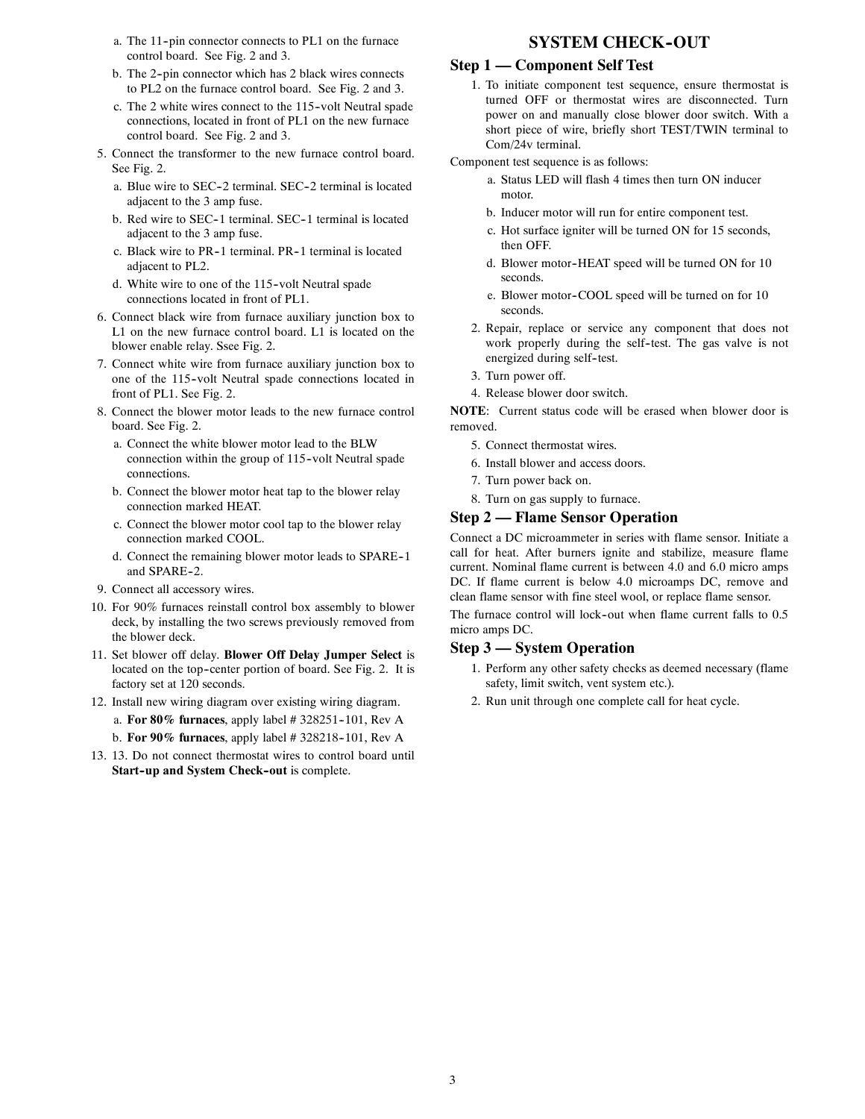- a. The 11-pin connector connects to PL1 on the furnace control board. See Fig. 2 and 3.
- b. The 2-pin connector which has 2 black wires connects to PL2 on the furnace control board. See Fig. 2 and 3.
- c. The 2 white wires connect to the 115--volt Neutral spade connections, located in front of PL1 on the new furnace control board. See Fig. 2 and 3.
- 5. Connect the transformer to the new furnace control board. See Fig. 2.
	- a. Blue wire to SEC-2 terminal. SEC-2 terminal is located adjacent to the 3 amp fuse.
	- b. Red wire to SEC-1 terminal. SEC-1 terminal is located adjacent to the 3 amp fuse.
	- c. Black wire to PR-1 terminal. PR-1 terminal is located adjacent to PL2.
	- d. White wire to one of the 115--volt Neutral spade connections located in front of PL1.
- 6. Connect black wire from furnace auxiliary junction box to L1 on the new furnace control board. L1 is located on the blower enable relay. Ssee Fig. 2.
- 7. Connect white wire from furnace auxiliary junction box to one of the 115-volt Neutral spade connections located in front of PL1. See Fig. 2.
- 8. Connect the blower motor leads to the new furnace control board. See Fig. 2.
	- a. Connect the white blower motor lead to the BLW connection within the group of 115--volt Neutral spade connections.
	- b. Connect the blower motor heat tap to the blower relay connection marked HEAT.
	- c. Connect the blower motor cool tap to the blower relay connection marked COOL.
	- d. Connect the remaining blower motor leads to SPARE--1 and SPARE-2.
- 9. Connect all accessory wires.
- 10. For 90% furnaces reinstall control box assembly to blower deck, by installing the two screws previously removed from the blower deck.
- 11. Set blower off delay. **Blower Off Delay Jumper Select** is located on the top-center portion of board. See Fig. 2. It is factory set at 120 seconds.
- 12. Install new wiring diagram over existing wiring diagram.
	- a. **For 80% furnaces**, apply label # 328251-101, Rev A
	- b. **For 90% furnaces**, apply label # 328218--101, Rev A
- 13. 13. Do not connect thermostat wires to control board until **Start-up and System Check-out** is complete.

### **SYSTEM CHECK-OUT**

### **Step 1 — Component Self Test**

1. To initiate component test sequence, ensure thermostat is turned OFF or thermostat wires are disconnected. Turn power on and manually close blower door switch. With a short piece of wire, briefly short TEST/TWIN terminal to Com/24v terminal.

Component test sequence is as follows:

- a. Status LED will flash 4 times then turn ON inducer motor.
- b. Inducer motor will run for entire component test.
- c. Hot surface igniter will be turned ON for 15 seconds, then OFF.
- d. Blower motor-HEAT speed will be turned ON for 10 seconds.
- e. Blower motor-COOL speed will be turned on for 10 seconds.
- 2. Repair, replace or service any component that does not work properly during the self--test. The gas valve is not energized during self--test.
- 3. Turn power off.
- 4. Release blower door switch.

**NOTE**: Current status code will be erased when blower door is removed.

- 5. Connect thermostat wires.
- 6. Install blower and access doors.
- 7. Turn power back on.
- 8. Turn on gas supply to furnace.

### **Step 2 — Flame Sensor Operation**

Connect a DC microammeter in series with flame sensor. Initiate a call for heat. After burners ignite and stabilize, measure flame current. Nominal flame current is between 4.0 and 6.0 micro amps DC. If flame current is below 4.0 microamps DC, remove and clean flame sensor with fine steel wool, or replace flame sensor.

The furnace control will lock-out when flame current falls to 0.5 micro amps DC.

#### **Step 3 — System Operation**

- 1. Perform any other safety checks as deemed necessary (flame safety, limit switch, vent system etc.).
- 2. Run unit through one complete call for heat cycle.